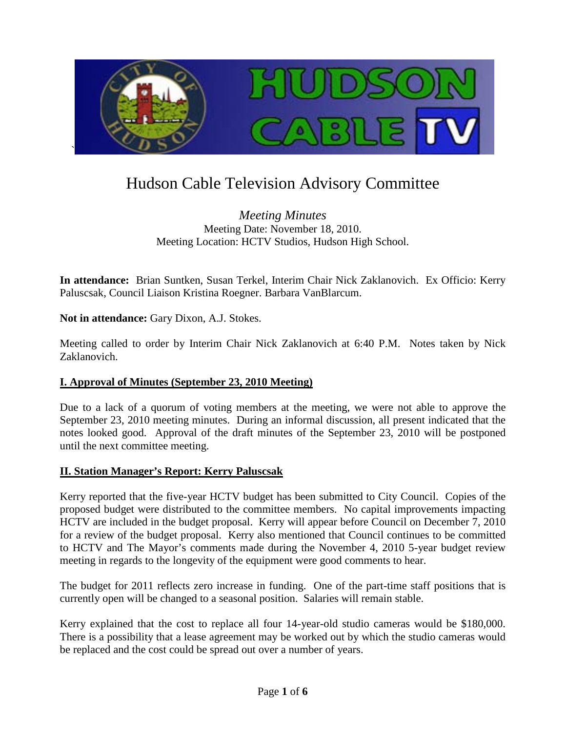

# Hudson Cable Television Advisory Committee

*Meeting Minutes* Meeting Date: November 18, 2010. Meeting Location: HCTV Studios, Hudson High School.

**In attendance:** Brian Suntken, Susan Terkel, Interim Chair Nick Zaklanovich. Ex Officio: Kerry Paluscsak, Council Liaison Kristina Roegner. Barbara VanBlarcum.

**Not in attendance:** Gary Dixon, A.J. Stokes.

Meeting called to order by Interim Chair Nick Zaklanovich at 6:40 P.M. Notes taken by Nick Zaklanovich.

## **I. Approval of Minutes (September 23, 2010 Meeting)**

Due to a lack of a quorum of voting members at the meeting, we were not able to approve the September 23, 2010 meeting minutes. During an informal discussion, all present indicated that the notes looked good. Approval of the draft minutes of the September 23, 2010 will be postponed until the next committee meeting.

#### **II. Station Manager's Report: Kerry Paluscsak**

Kerry reported that the five-year HCTV budget has been submitted to City Council. Copies of the proposed budget were distributed to the committee members. No capital improvements impacting HCTV are included in the budget proposal. Kerry will appear before Council on December 7, 2010 for a review of the budget proposal. Kerry also mentioned that Council continues to be committed to HCTV and The Mayor's comments made during the November 4, 2010 5-year budget review meeting in regards to the longevity of the equipment were good comments to hear.

The budget for 2011 reflects zero increase in funding. One of the part-time staff positions that is currently open will be changed to a seasonal position. Salaries will remain stable.

Kerry explained that the cost to replace all four 14-year-old studio cameras would be \$180,000. There is a possibility that a lease agreement may be worked out by which the studio cameras would be replaced and the cost could be spread out over a number of years.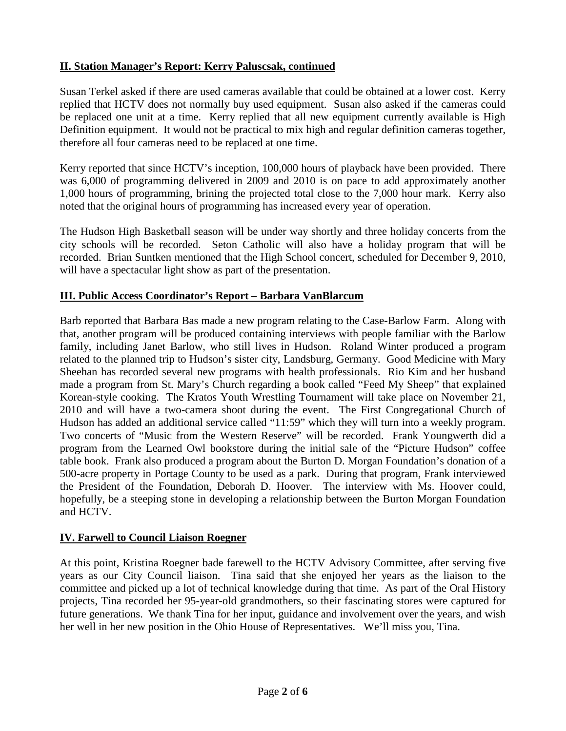## **II. Station Manager's Report: Kerry Paluscsak, continued**

Susan Terkel asked if there are used cameras available that could be obtained at a lower cost. Kerry replied that HCTV does not normally buy used equipment. Susan also asked if the cameras could be replaced one unit at a time. Kerry replied that all new equipment currently available is High Definition equipment. It would not be practical to mix high and regular definition cameras together, therefore all four cameras need to be replaced at one time.

Kerry reported that since HCTV's inception, 100,000 hours of playback have been provided. There was 6,000 of programming delivered in 2009 and 2010 is on pace to add approximately another 1,000 hours of programming, brining the projected total close to the 7,000 hour mark. Kerry also noted that the original hours of programming has increased every year of operation.

The Hudson High Basketball season will be under way shortly and three holiday concerts from the city schools will be recorded. Seton Catholic will also have a holiday program that will be recorded. Brian Suntken mentioned that the High School concert, scheduled for December 9, 2010, will have a spectacular light show as part of the presentation.

## **III. Public Access Coordinator's Report – Barbara VanBlarcum**

Barb reported that Barbara Bas made a new program relating to the Case-Barlow Farm. Along with that, another program will be produced containing interviews with people familiar with the Barlow family, including Janet Barlow, who still lives in Hudson. Roland Winter produced a program related to the planned trip to Hudson's sister city, Landsburg, Germany. Good Medicine with Mary Sheehan has recorded several new programs with health professionals. Rio Kim and her husband made a program from St. Mary's Church regarding a book called "Feed My Sheep" that explained Korean-style cooking. The Kratos Youth Wrestling Tournament will take place on November 21, 2010 and will have a two-camera shoot during the event. The First Congregational Church of Hudson has added an additional service called "11:59" which they will turn into a weekly program. Two concerts of "Music from the Western Reserve" will be recorded. Frank Youngwerth did a program from the Learned Owl bookstore during the initial sale of the "Picture Hudson" coffee table book. Frank also produced a program about the Burton D. Morgan Foundation's donation of a 500-acre property in Portage County to be used as a park. During that program, Frank interviewed the President of the Foundation, Deborah D. Hoover. The interview with Ms. Hoover could, hopefully, be a steeping stone in developing a relationship between the Burton Morgan Foundation and HCTV.

## **IV. Farwell to Council Liaison Roegner**

At this point, Kristina Roegner bade farewell to the HCTV Advisory Committee, after serving five years as our City Council liaison. Tina said that she enjoyed her years as the liaison to the committee and picked up a lot of technical knowledge during that time. As part of the Oral History projects, Tina recorded her 95-year-old grandmothers, so their fascinating stores were captured for future generations. We thank Tina for her input, guidance and involvement over the years, and wish her well in her new position in the Ohio House of Representatives. We'll miss you, Tina.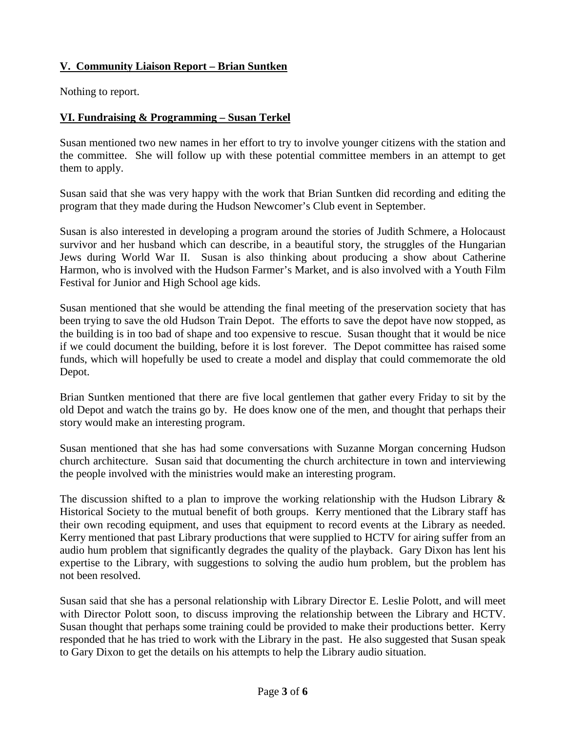# **V. Community Liaison Report – Brian Suntken**

Nothing to report.

# **VI. Fundraising & Programming – Susan Terkel**

Susan mentioned two new names in her effort to try to involve younger citizens with the station and the committee. She will follow up with these potential committee members in an attempt to get them to apply.

Susan said that she was very happy with the work that Brian Suntken did recording and editing the program that they made during the Hudson Newcomer's Club event in September.

Susan is also interested in developing a program around the stories of Judith Schmere, a Holocaust survivor and her husband which can describe, in a beautiful story, the struggles of the Hungarian Jews during World War II. Susan is also thinking about producing a show about Catherine Harmon, who is involved with the Hudson Farmer's Market, and is also involved with a Youth Film Festival for Junior and High School age kids.

Susan mentioned that she would be attending the final meeting of the preservation society that has been trying to save the old Hudson Train Depot. The efforts to save the depot have now stopped, as the building is in too bad of shape and too expensive to rescue. Susan thought that it would be nice if we could document the building, before it is lost forever. The Depot committee has raised some funds, which will hopefully be used to create a model and display that could commemorate the old Depot.

Brian Suntken mentioned that there are five local gentlemen that gather every Friday to sit by the old Depot and watch the trains go by. He does know one of the men, and thought that perhaps their story would make an interesting program.

Susan mentioned that she has had some conversations with Suzanne Morgan concerning Hudson church architecture. Susan said that documenting the church architecture in town and interviewing the people involved with the ministries would make an interesting program.

The discussion shifted to a plan to improve the working relationship with the Hudson Library  $\&$ Historical Society to the mutual benefit of both groups. Kerry mentioned that the Library staff has their own recoding equipment, and uses that equipment to record events at the Library as needed. Kerry mentioned that past Library productions that were supplied to HCTV for airing suffer from an audio hum problem that significantly degrades the quality of the playback. Gary Dixon has lent his expertise to the Library, with suggestions to solving the audio hum problem, but the problem has not been resolved.

Susan said that she has a personal relationship with Library Director E. Leslie Polott, and will meet with Director Polott soon, to discuss improving the relationship between the Library and HCTV. Susan thought that perhaps some training could be provided to make their productions better. Kerry responded that he has tried to work with the Library in the past. He also suggested that Susan speak to Gary Dixon to get the details on his attempts to help the Library audio situation.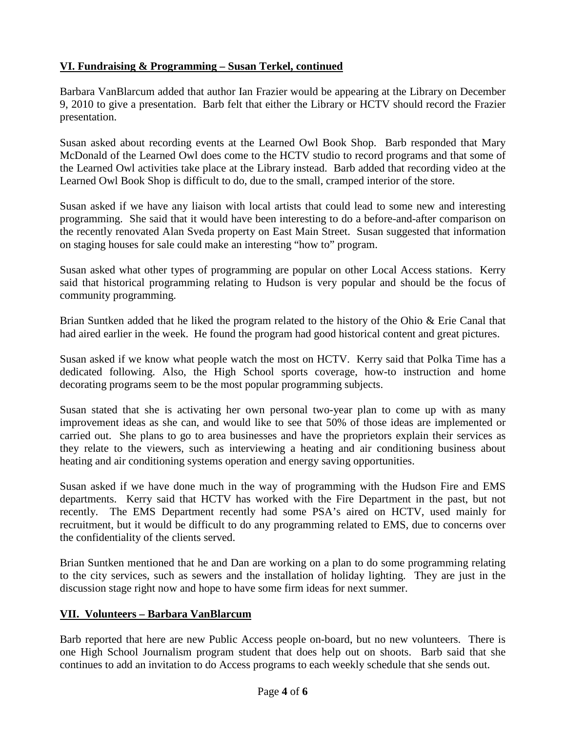# **VI. Fundraising & Programming – Susan Terkel, continued**

Barbara VanBlarcum added that author Ian Frazier would be appearing at the Library on December 9, 2010 to give a presentation. Barb felt that either the Library or HCTV should record the Frazier presentation.

Susan asked about recording events at the Learned Owl Book Shop. Barb responded that Mary McDonald of the Learned Owl does come to the HCTV studio to record programs and that some of the Learned Owl activities take place at the Library instead. Barb added that recording video at the Learned Owl Book Shop is difficult to do, due to the small, cramped interior of the store.

Susan asked if we have any liaison with local artists that could lead to some new and interesting programming. She said that it would have been interesting to do a before-and-after comparison on the recently renovated Alan Sveda property on East Main Street. Susan suggested that information on staging houses for sale could make an interesting "how to" program.

Susan asked what other types of programming are popular on other Local Access stations. Kerry said that historical programming relating to Hudson is very popular and should be the focus of community programming.

Brian Suntken added that he liked the program related to the history of the Ohio & Erie Canal that had aired earlier in the week. He found the program had good historical content and great pictures.

Susan asked if we know what people watch the most on HCTV. Kerry said that Polka Time has a dedicated following. Also, the High School sports coverage, how-to instruction and home decorating programs seem to be the most popular programming subjects.

Susan stated that she is activating her own personal two-year plan to come up with as many improvement ideas as she can, and would like to see that 50% of those ideas are implemented or carried out. She plans to go to area businesses and have the proprietors explain their services as they relate to the viewers, such as interviewing a heating and air conditioning business about heating and air conditioning systems operation and energy saving opportunities.

Susan asked if we have done much in the way of programming with the Hudson Fire and EMS departments. Kerry said that HCTV has worked with the Fire Department in the past, but not recently. The EMS Department recently had some PSA's aired on HCTV, used mainly for recruitment, but it would be difficult to do any programming related to EMS, due to concerns over the confidentiality of the clients served.

Brian Suntken mentioned that he and Dan are working on a plan to do some programming relating to the city services, such as sewers and the installation of holiday lighting. They are just in the discussion stage right now and hope to have some firm ideas for next summer.

## **VII. Volunteers – Barbara VanBlarcum**

Barb reported that here are new Public Access people on-board, but no new volunteers. There is one High School Journalism program student that does help out on shoots. Barb said that she continues to add an invitation to do Access programs to each weekly schedule that she sends out.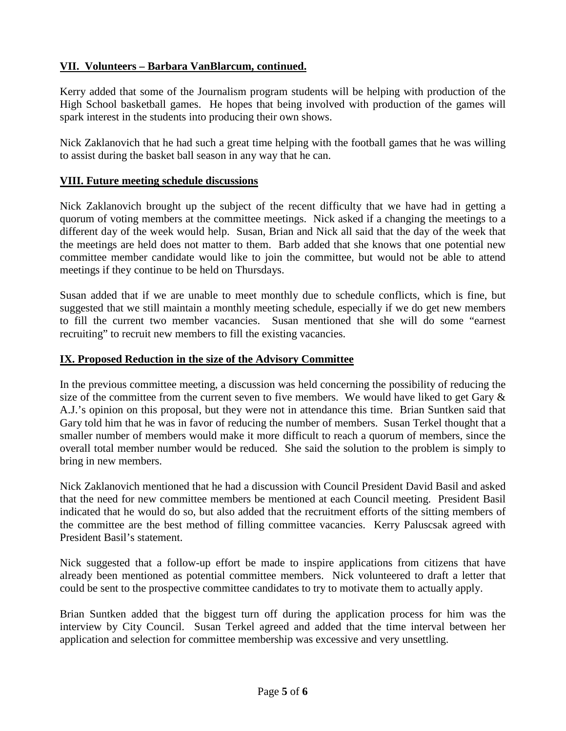## **VII. Volunteers – Barbara VanBlarcum, continued.**

Kerry added that some of the Journalism program students will be helping with production of the High School basketball games. He hopes that being involved with production of the games will spark interest in the students into producing their own shows.

Nick Zaklanovich that he had such a great time helping with the football games that he was willing to assist during the basket ball season in any way that he can.

#### **VIII. Future meeting schedule discussions**

Nick Zaklanovich brought up the subject of the recent difficulty that we have had in getting a quorum of voting members at the committee meetings. Nick asked if a changing the meetings to a different day of the week would help. Susan, Brian and Nick all said that the day of the week that the meetings are held does not matter to them. Barb added that she knows that one potential new committee member candidate would like to join the committee, but would not be able to attend meetings if they continue to be held on Thursdays.

Susan added that if we are unable to meet monthly due to schedule conflicts, which is fine, but suggested that we still maintain a monthly meeting schedule, especially if we do get new members to fill the current two member vacancies. Susan mentioned that she will do some "earnest recruiting" to recruit new members to fill the existing vacancies.

#### **IX. Proposed Reduction in the size of the Advisory Committee**

In the previous committee meeting, a discussion was held concerning the possibility of reducing the size of the committee from the current seven to five members. We would have liked to get Gary  $\&$ A.J.'s opinion on this proposal, but they were not in attendance this time. Brian Suntken said that Gary told him that he was in favor of reducing the number of members. Susan Terkel thought that a smaller number of members would make it more difficult to reach a quorum of members, since the overall total member number would be reduced. She said the solution to the problem is simply to bring in new members.

Nick Zaklanovich mentioned that he had a discussion with Council President David Basil and asked that the need for new committee members be mentioned at each Council meeting. President Basil indicated that he would do so, but also added that the recruitment efforts of the sitting members of the committee are the best method of filling committee vacancies. Kerry Paluscsak agreed with President Basil's statement.

Nick suggested that a follow-up effort be made to inspire applications from citizens that have already been mentioned as potential committee members. Nick volunteered to draft a letter that could be sent to the prospective committee candidates to try to motivate them to actually apply.

Brian Suntken added that the biggest turn off during the application process for him was the interview by City Council. Susan Terkel agreed and added that the time interval between her application and selection for committee membership was excessive and very unsettling.